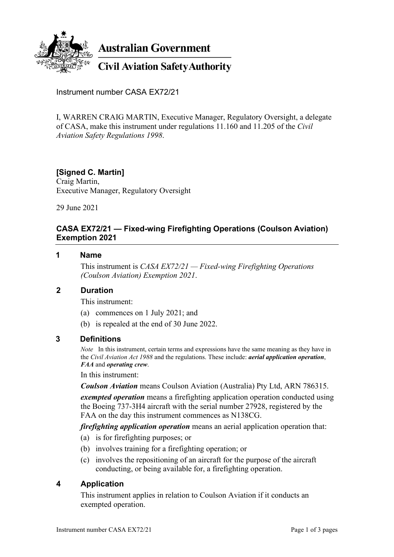

**Australian Government** 

**Civil Aviation Safety Authority** 

Instrument number CASA EX72/21

I, WARREN CRAIG MARTIN, Executive Manager, Regulatory Oversight, a delegate of CASA, make this instrument under regulations 11.160 and 11.205 of the *Civil Aviation Safety Regulations 1998*.

# **[Signed C. Martin]**

Craig Martin, Executive Manager, Regulatory Oversight

29 June 2021

### **CASA EX72/21 — Fixed-wing Firefighting Operations (Coulson Aviation) Exemption 2021**

#### **1 Name**

This instrument is *CASA EX72/21 — Fixed-wing Firefighting Operations (Coulson Aviation) Exemption 2021*.

#### **2 Duration**

This instrument:

- (a) commences on 1 July 2021; and
- (b) is repealed at the end of 30 June 2022.

#### **3 Definitions**

*Note* In this instrument, certain terms and expressions have the same meaning as they have in the *Civil Aviation Act 1988* and the regulations. These include: *aerial application operation*, *FAA* and *operating crew*.

In this instrument:

*Coulson Aviation* means Coulson Aviation (Australia) Pty Ltd, ARN 786315.

*exempted operation* means a firefighting application operation conducted using the Boeing 737-3H4 aircraft with the serial number 27928, registered by the FAA on the day this instrument commences as N138CG.

*firefighting application operation* means an aerial application operation that:

- (a) is for firefighting purposes; or
- (b) involves training for a firefighting operation; or
- (c) involves the repositioning of an aircraft for the purpose of the aircraft conducting, or being available for, a firefighting operation.

#### **4 Application**

This instrument applies in relation to Coulson Aviation if it conducts an exempted operation.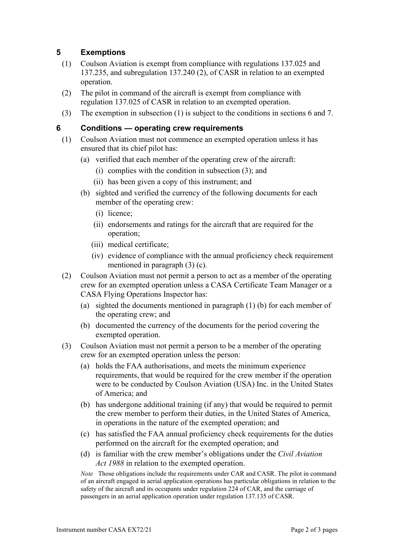## **5 Exemptions**

- (1) Coulson Aviation is exempt from compliance with regulations 137.025 and 137.235, and subregulation 137.240 (2), of CASR in relation to an exempted operation.
- (2) The pilot in command of the aircraft is exempt from compliance with regulation 137.025 of CASR in relation to an exempted operation.
- (3) The exemption in subsection (1) is subject to the conditions in sections 6 and 7.

## **6 Conditions — operating crew requirements**

- (1) Coulson Aviation must not commence an exempted operation unless it has ensured that its chief pilot has:
	- (a) verified that each member of the operating crew of the aircraft:
		- (i) complies with the condition in subsection (3); and
		- (ii) has been given a copy of this instrument; and
	- (b) sighted and verified the currency of the following documents for each member of the operating crew:
		- (i) licence;
		- (ii) endorsements and ratings for the aircraft that are required for the operation;
		- (iii) medical certificate;
		- (iv) evidence of compliance with the annual proficiency check requirement mentioned in paragraph (3) (c).
- (2) Coulson Aviation must not permit a person to act as a member of the operating crew for an exempted operation unless a CASA Certificate Team Manager or a CASA Flying Operations Inspector has:
	- (a) sighted the documents mentioned in paragraph (1) (b) for each member of the operating crew; and
	- (b) documented the currency of the documents for the period covering the exempted operation.
- (3) Coulson Aviation must not permit a person to be a member of the operating crew for an exempted operation unless the person:
	- (a) holds the FAA authorisations, and meets the minimum experience requirements, that would be required for the crew member if the operation were to be conducted by Coulson Aviation (USA) Inc. in the United States of America; and
	- (b) has undergone additional training (if any) that would be required to permit the crew member to perform their duties, in the United States of America, in operations in the nature of the exempted operation; and
	- (c) has satisfied the FAA annual proficiency check requirements for the duties performed on the aircraft for the exempted operation; and
	- (d) is familiar with the crew member's obligations under the *Civil Aviation Act 1988* in relation to the exempted operation.

*Note* Those obligations include the requirements under CAR and CASR. The pilot in command of an aircraft engaged in aerial application operations has particular obligations in relation to the safety of the aircraft and its occupants under regulation 224 of CAR, and the carriage of passengers in an aerial application operation under regulation 137.135 of CASR.